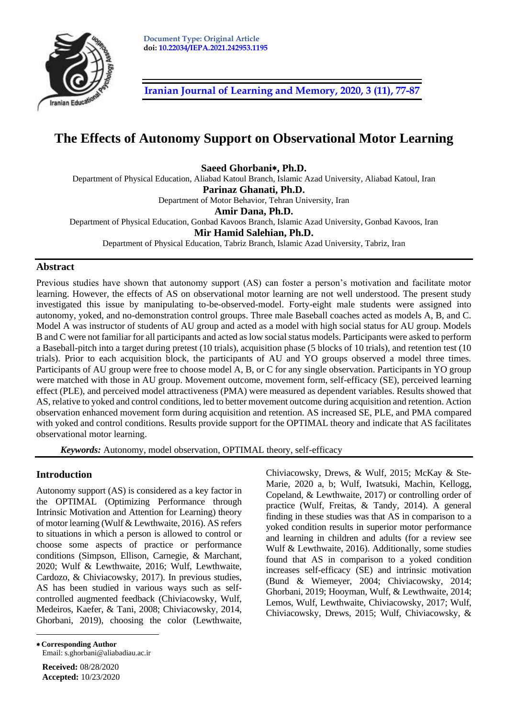

**[Iranian Journal of Learning and Memory, 2020, 3](http://journal.iepa.ir/article_91052.html) (11), 77-87**

# **The Effects of Autonomy Support on Observational Motor Learning**

**Saeed Ghorbani, Ph.D.**

Department of Physical Education, Aliabad Katoul Branch, Islamic Azad University, Aliabad Katoul, Iran

**Parinaz Ghanati, Ph.D.**

Department of Motor Behavior, Tehran University, Iran

**Amir Dana, Ph.D.**

Department of Physical Education, Gonbad Kavoos Branch, Islamic Azad University, Gonbad Kavoos, Iran

**Mir Hamid Salehian, Ph.D.**

Department of Physical Education, Tabriz Branch, Islamic Azad University, Tabriz, Iran

# **Abstract**

Previous studies have shown that autonomy support (AS) can foster a person's motivation and facilitate motor learning. However, the effects of AS on observational motor learning are not well understood. The present study investigated this issue by manipulating to-be-observed-model. Forty-eight male students were assigned into autonomy, yoked, and no-demonstration control groups. Three male Baseball coaches acted as models A, B, and C. Model A was instructor of students of AU group and acted as a model with high social status for AU group. Models B and C were not familiar for all participants and acted as low social status models. Participants were asked to perform a Baseball-pitch into a target during pretest (10 trials), acquisition phase (5 blocks of 10 trials), and retention test (10 trials). Prior to each acquisition block, the participants of AU and YO groups observed a model three times. Participants of AU group were free to choose model A, B, or C for any single observation. Participants in YO group were matched with those in AU group. Movement outcome, movement form, self-efficacy (SE), perceived learning effect (PLE), and perceived model attractiveness (PMA) were measured as dependent variables. Results showed that AS, relative to yoked and control conditions, led to better movement outcome during acquisition and retention. Action observation enhanced movement form during acquisition and retention. AS increased SE, PLE, and PMA compared with yoked and control conditions. Results provide support for the OPTIMAL theory and indicate that AS facilitates observational motor learning.

*Keywords:* Autonomy, model observation, OPTIMAL theory, self-efficacy

# **Introduction**

Autonomy support (AS) is considered as a key factor in the OPTIMAL (Optimizing Performance through Intrinsic Motivation and Attention for Learning) theory of motor learning (Wulf & Lewthwaite, 2016). AS refers to situations in which a person is allowed to control or choose some aspects of practice or performance conditions (Simpson, Ellison, Carnegie, & Marchant, 2020; Wulf & Lewthwaite, 2016; Wulf, Lewthwaite, Cardozo, & Chiviacowsky, 2017). In previous studies, AS has been studied in various ways such as selfcontrolled augmented feedback (Chiviacowsky, Wulf, Medeiros, Kaefer, & Tani, 2008; Chiviacowsky, 2014, Ghorbani, 2019), choosing the color (Lewthwaite, Chiviacowsky, Drews, & Wulf, 2015; McKay & Ste-Marie, 2020 a, b; Wulf, Iwatsuki, Machin, Kellogg, Copeland, & Lewthwaite, 2017) or controlling order of practice (Wulf, Freitas, & Tandy, 2014). A general finding in these studies was that AS in comparison to a yoked condition results in superior motor performance and learning in children and adults (for a review see Wulf & Lewthwaite, 2016). Additionally, some studies found that AS in comparison to a yoked condition increases self-efficacy (SE) and intrinsic motivation (Bund & Wiemeyer, 2004; Chiviacowsky, 2014; Ghorbani, 2019; Hooyman, Wulf, & Lewthwaite, 2014; Lemos, Wulf, Lewthwaite, Chiviacowsky, 2017; Wulf, Chiviacowsky, Drews, 2015; Wulf, Chiviacowsky, &

 **Corresponding Author**  Email: s.ghorbani@aliabadiau.ac.ir

**Received:** 08/28/2020 **Accepted:** 10/23/2020

 $\overline{a}$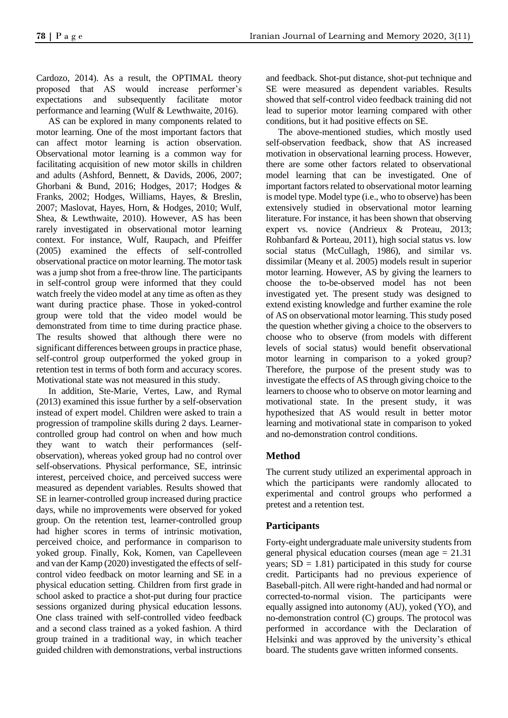Cardozo, 2014). As a result, the OPTIMAL theory proposed that AS would increase performer's expectations and subsequently facilitate motor performance and learning (Wulf & Lewthwaite, 2016).

AS can be explored in many components related to motor learning. One of the most important factors that can affect motor learning is action observation. Observational motor learning is a common way for facilitating acquisition of new motor skills in children and adults (Ashford, Bennett, & Davids, 2006, 2007; Ghorbani & Bund, 2016; Hodges, 2017; Hodges & Franks, 2002; Hodges, Williams, Hayes, & Breslin, 2007; Maslovat, Hayes, Horn, & Hodges, 2010; Wulf, Shea, & Lewthwaite, 2010). However, AS has been rarely investigated in observational motor learning context. For instance, Wulf, Raupach, and Pfeiffer (2005) examined the effects of self-controlled observational practice on motor learning. The motor task was a jump shot from a free-throw line. The participants in self-control group were informed that they could watch freely the video model at any time as often as they want during practice phase. Those in yoked-control group were told that the video model would be demonstrated from time to time during practice phase. The results showed that although there were no significant differences between groups in practice phase, self-control group outperformed the yoked group in retention test in terms of both form and accuracy scores. Motivational state was not measured in this study.

In addition, Ste-Marie, Vertes, Law, and Rymal (2013) examined this issue further by a self-observation instead of expert model. Children were asked to train a progression of trampoline skills during 2 days. Learnercontrolled group had control on when and how much they want to watch their performances (selfobservation), whereas yoked group had no control over self-observations. Physical performance, SE, intrinsic interest, perceived choice, and perceived success were measured as dependent variables. Results showed that SE in learner-controlled group increased during practice days, while no improvements were observed for yoked group. On the retention test, learner-controlled group had higher scores in terms of intrinsic motivation, perceived choice, and performance in comparison to yoked group. Finally, Kok, Komen, van Capelleveen and van der Kamp (2020) investigated the effects of selfcontrol video feedback on motor learning and SE in a physical education setting. Children from first grade in school asked to practice a shot-put during four practice sessions organized during physical education lessons. One class trained with self-controlled video feedback and a second class trained as a yoked fashion. A third group trained in a traditional way, in which teacher guided children with demonstrations, verbal instructions and feedback. Shot-put distance, shot-put technique and SE were measured as dependent variables. Results showed that self-control video feedback training did not lead to superior motor learning compared with other conditions, but it had positive effects on SE.

The above-mentioned studies, which mostly used self-observation feedback, show that AS increased motivation in observational learning process. However, there are some other factors related to observational model learning that can be investigated. One of important factors related to observational motor learning is model type. Model type (i.e., who to observe) has been extensively studied in observational motor learning literature. For instance, it has been shown that observing expert vs. novice (Andrieux & Proteau, 2013; Rohbanfard & Porteau, 2011), high social status vs. low social status (McCullagh, 1986), and similar vs. dissimilar (Meany et al. 2005) models result in superior motor learning. However, AS by giving the learners to choose the to-be-observed model has not been investigated yet. The present study was designed to extend existing knowledge and further examine the role of AS on observational motor learning. This study posed the question whether giving a choice to the observers to choose who to observe (from models with different levels of social status) would benefit observational motor learning in comparison to a yoked group? Therefore, the purpose of the present study was to investigate the effects of AS through giving choice to the learners to choose who to observe on motor learning and motivational state. In the present study, it was hypothesized that AS would result in better motor learning and motivational state in comparison to yoked and no-demonstration control conditions.

# **Method**

The current study utilized an experimental approach in which the participants were randomly allocated to experimental and control groups who performed a pretest and a retention test.

# **Participants**

Forty-eight undergraduate male university students from general physical education courses (mean age = 21.31 years;  $SD = 1.81$ ) participated in this study for course credit. Participants had no previous experience of Baseball-pitch. All were right-handed and had normal or corrected-to-normal vision. The participants were equally assigned into autonomy (AU), yoked (YO), and no-demonstration control (C) groups. The protocol was performed in accordance with the Declaration of Helsinki and was approved by the university's ethical board. The students gave written informed consents.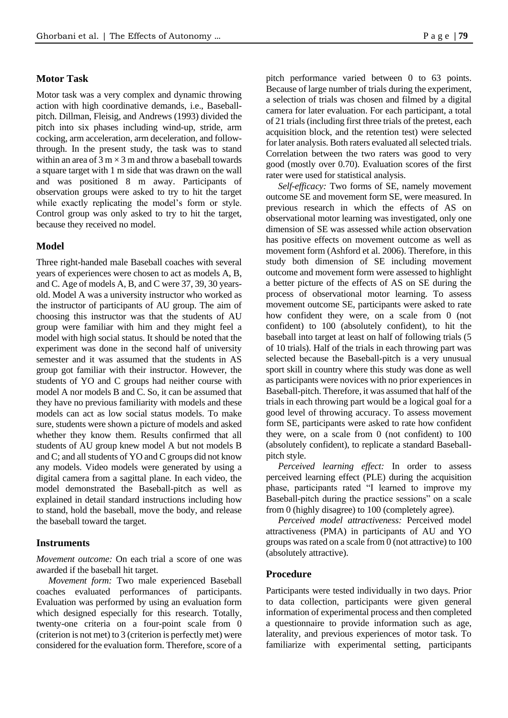# **Motor Task**

Motor task was a very complex and dynamic throwing action with high coordinative demands, i.e., Baseballpitch. Dillman, Fleisig, and Andrews (1993) divided the pitch into six phases including wind-up, stride, arm cocking, arm acceleration, arm deceleration, and followthrough. In the present study, the task was to stand within an area of  $3 \text{ m} \times 3 \text{ m}$  and throw a baseball towards a square target with 1 m side that was drawn on the wall and was positioned 8 m away. Participants of observation groups were asked to try to hit the target while exactly replicating the model's form or style. Control group was only asked to try to hit the target, because they received no model.

# **Model**

Three right-handed male Baseball coaches with several years of experiences were chosen to act as models A, B, and C. Age of models A, B, and C were 37, 39, 30 yearsold. Model A was a university instructor who worked as the instructor of participants of AU group. The aim of choosing this instructor was that the students of AU group were familiar with him and they might feel a model with high social status. It should be noted that the experiment was done in the second half of university semester and it was assumed that the students in AS group got familiar with their instructor. However, the students of YO and C groups had neither course with model A nor models B and C. So, it can be assumed that they have no previous familiarity with models and these models can act as low social status models. To make sure, students were shown a picture of models and asked whether they know them. Results confirmed that all students of AU group knew model A but not models B and C; and all students of YO and C groups did not know any models. Video models were generated by using a digital camera from a sagittal plane. In each video, the model demonstrated the Baseball-pitch as well as explained in detail standard instructions including how to stand, hold the baseball, move the body, and release the baseball toward the target.

### **Instruments**

*Movement outcome:* On each trial a score of one was awarded if the baseball hit target.

*Movement form:* Two male experienced Baseball coaches evaluated performances of participants. Evaluation was performed by using an evaluation form which designed especially for this research. Totally, twenty-one criteria on a four-point scale from 0 (criterion is not met) to 3 (criterion is perfectly met) were considered for the evaluation form. Therefore, score of a

pitch performance varied between 0 to 63 points. Because of large number of trials during the experiment, a selection of trials was chosen and filmed by a digital camera for later evaluation. For each participant, a total of 21 trials (including first three trials of the pretest, each acquisition block, and the retention test) were selected for later analysis. Both raters evaluated all selected trials. Correlation between the two raters was good to very good (mostly over 0.70). Evaluation scores of the first rater were used for statistical analysis.

*Self-efficacy:* Two forms of SE, namely movement outcome SE and movement form SE, were measured. In previous research in which the effects of AS on observational motor learning was investigated, only one dimension of SE was assessed while action observation has positive effects on movement outcome as well as movement form (Ashford et al. 2006). Therefore, in this study both dimension of SE including movement outcome and movement form were assessed to highlight a better picture of the effects of AS on SE during the process of observational motor learning. To assess movement outcome SE, participants were asked to rate how confident they were, on a scale from 0 (not confident) to 100 (absolutely confident), to hit the baseball into target at least on half of following trials (5 of 10 trials). Half of the trials in each throwing part was selected because the Baseball-pitch is a very unusual sport skill in country where this study was done as well as participants were novices with no prior experiences in Baseball-pitch. Therefore, it was assumed that half of the trials in each throwing part would be a logical goal for a good level of throwing accuracy. To assess movement form SE, participants were asked to rate how confident they were, on a scale from 0 (not confident) to 100 (absolutely confident), to replicate a standard Baseballpitch style.

*Perceived learning effect:* In order to assess perceived learning effect (PLE) during the acquisition phase, participants rated "I learned to improve my Baseball-pitch during the practice sessions" on a scale from 0 (highly disagree) to 100 (completely agree).

*Perceived model attractiveness:* Perceived model attractiveness (PMA) in participants of AU and YO groups was rated on a scale from 0 (not attractive) to 100 (absolutely attractive).

### **Procedure**

Participants were tested individually in two days. Prior to data collection, participants were given general information of experimental process and then completed a questionnaire to provide information such as age, laterality, and previous experiences of motor task. To familiarize with experimental setting, participants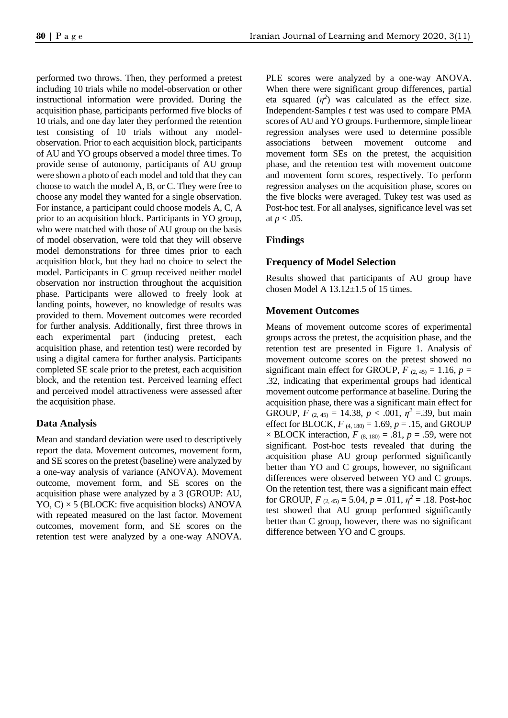performed two throws. Then, they performed a pretest including 10 trials while no model-observation or other instructional information were provided. During the acquisition phase, participants performed five blocks of 10 trials, and one day later they performed the retention test consisting of 10 trials without any modelobservation. Prior to each acquisition block, participants of AU and YO groups observed a model three times. To provide sense of autonomy, participants of AU group were shown a photo of each model and told that they can choose to watch the model A, B, or C. They were free to choose any model they wanted for a single observation. For instance, a participant could choose models A, C, A prior to an acquisition block. Participants in YO group, who were matched with those of AU group on the basis of model observation, were told that they will observe model demonstrations for three times prior to each acquisition block, but they had no choice to select the model. Participants in C group received neither model observation nor instruction throughout the acquisition phase. Participants were allowed to freely look at landing points, however, no knowledge of results was provided to them. Movement outcomes were recorded for further analysis. Additionally, first three throws in each experimental part (inducing pretest, each acquisition phase, and retention test) were recorded by using a digital camera for further analysis. Participants completed SE scale prior to the pretest, each acquisition block, and the retention test. Perceived learning effect and perceived model attractiveness were assessed after the acquisition phase.

# **Data Analysis**

Mean and standard deviation were used to descriptively report the data. Movement outcomes, movement form, and SE scores on the pretest (baseline) were analyzed by a one-way analysis of variance (ANOVA). Movement outcome, movement form, and SE scores on the acquisition phase were analyzed by a 3 (GROUP: AU,  $YO, C$   $\times$  5 (BLOCK: five acquisition blocks) ANOVA with repeated measured on the last factor. Movement outcomes, movement form, and SE scores on the retention test were analyzed by a one-way ANOVA. PLE scores were analyzed by a one-way ANOVA. When there were significant group differences, partial eta squared  $(\eta^2)$  was calculated as the effect size. Independent-Samples *t* test was used to compare PMA scores of AU and YO groups. Furthermore, simple linear regression analyses were used to determine possible associations between movement outcome and movement form SEs on the pretest, the acquisition phase, and the retention test with movement outcome and movement form scores, respectively. To perform regression analyses on the acquisition phase, scores on the five blocks were averaged. Tukey test was used as Post-hoc test. For all analyses, significance level was set at  $p < .05$ .

# **Findings**

# **Frequency of Model Selection**

Results showed that participants of AU group have chosen Model A  $13.12 \pm 1.5$  of 15 times.

# **Movement Outcomes**

Means of movement outcome scores of experimental groups across the pretest, the acquisition phase, and the retention test are presented in Figure 1. Analysis of movement outcome scores on the pretest showed no significant main effect for GROUP,  $F_{(2, 45)} = 1.16$ ,  $p =$ .32, indicating that experimental groups had identical movement outcome performance at baseline. During the acquisition phase, there was a significant main effect for GROUP,  $F_{(2,45)} = 14.38$ ,  $p < .001$ ,  $\eta^2 = .39$ , but main effect for BLOCK,  $F_{(4, 180)} = 1.69$ ,  $p = .15$ , and GROUP  $\times$  BLOCK interaction,  $F_{(8, 180)} = .81$ ,  $p = .59$ , were not significant. Post-hoc tests revealed that during the acquisition phase AU group performed significantly better than YO and C groups, however, no significant differences were observed between YO and C groups. On the retention test, there was a significant main effect for GROUP,  $F_{(2,45)} = 5.04$ ,  $p = .011$ ,  $\eta^2 = .18$ . Post-hoc test showed that AU group performed significantly better than C group, however, there was no significant difference between YO and C groups.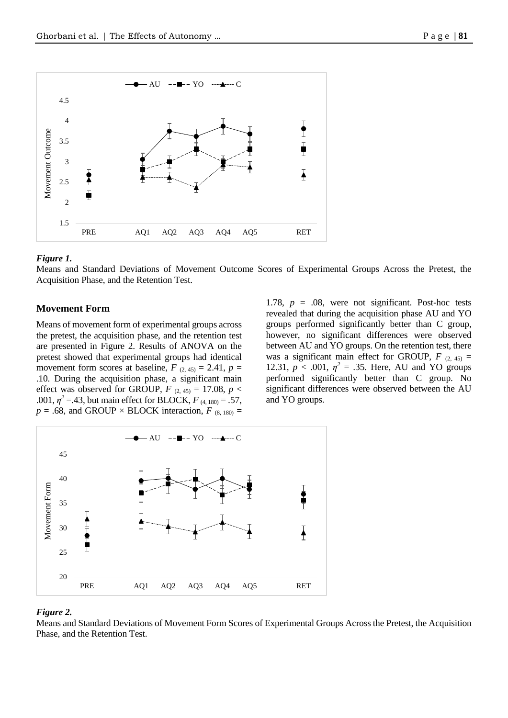

### *Figure 1.*

Means and Standard Deviations of Movement Outcome Scores of Experimental Groups Across the Pretest, the Acquisition Phase, and the Retention Test.

### **Movement Form**

Means of movement form of experimental groups across the pretest, the acquisition phase, and the retention test are presented in Figure 2. Results of ANOVA on the pretest showed that experimental groups had identical movement form scores at baseline,  $F_{(2,45)} = 2.41$ ,  $p =$ .10. During the acquisition phase, a significant main effect was observed for GROUP,  $F$  (2, 45) = 17.08,  $p$  < .001,  $\eta^2$  =.43, but main effect for BLOCK,  $F_{(4, 180)} = .57$ ,  $p = .68$ , and GROUP × BLOCK interaction,  $F_{(8, 180)} =$ 

1.78,  $p = .08$ , were not significant. Post-hoc tests revealed that during the acquisition phase AU and YO groups performed significantly better than C group, however, no significant differences were observed between AU and YO groups. On the retention test, there was a significant main effect for GROUP,  $F_{(2, 45)} =$ 12.31,  $p < .001$ ,  $\eta^2 = .35$ . Here, AU and YO groups performed significantly better than C group. No significant differences were observed between the AU and YO groups.



#### *Figure 2.*

Means and Standard Deviations of Movement Form Scores of Experimental Groups Across the Pretest, the Acquisition Phase, and the Retention Test.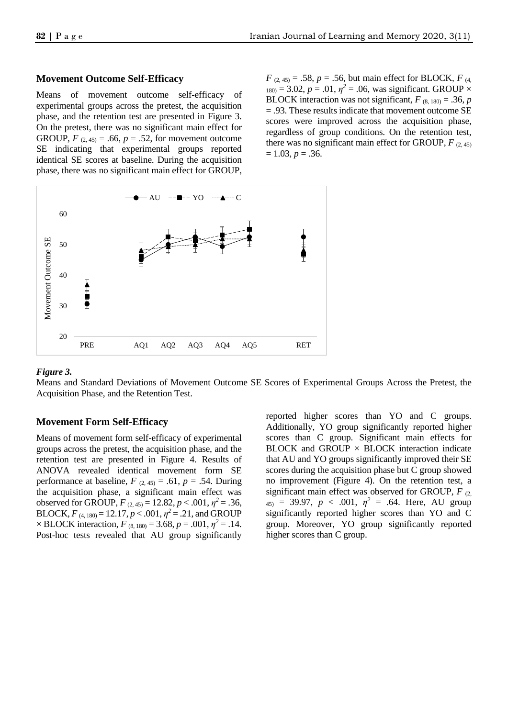### **Movement Outcome Self-Efficacy**

Means of movement outcome self-efficacy of experimental groups across the pretest, the acquisition phase, and the retention test are presented in Figure 3. On the pretest, there was no significant main effect for GROUP,  $F_{(2, 45)} = .66$ ,  $p = .52$ , for movement outcome SE indicating that experimental groups reported identical SE scores at baseline. During the acquisition phase, there was no significant main effect for GROUP,

 $F_{(2, 45)} = .58$ ,  $p = .56$ , but main effect for BLOCK,  $F_{(4, 45)}$  $_{180}$  = 3.02,  $p = .01$ ,  $\eta^2 = .06$ , was significant. GROUP  $\times$ BLOCK interaction was not significant,  $F_{(8, 180)} = .36$ , *p* = .93. These results indicate that movement outcome SE scores were improved across the acquisition phase, regardless of group conditions. On the retention test, there was no significant main effect for GROUP,  $F_{(2,45)}$  $= 1.03, p = .36.$ 



#### *Figure 3.*

Means and Standard Deviations of Movement Outcome SE Scores of Experimental Groups Across the Pretest, the Acquisition Phase, and the Retention Test.

# **Movement Form Self-Efficacy**

Means of movement form self-efficacy of experimental groups across the pretest, the acquisition phase, and the retention test are presented in Figure 4. Results of ANOVA revealed identical movement form SE performance at baseline,  $F_{(2,45)} = .61$ ,  $p = .54$ . During the acquisition phase, a significant main effect was observed for GROUP,  $F_{(2,45)} = 12.82, p < .001, \eta^2 = .36,$ BLOCK,  $F_{(4, 180)} = 12.17, p < .001, \eta^2 = .21$ , and GROUP  $\times$  BLOCK interaction,  $F_{(8, 180)} = 3.68$ ,  $p = .001$ ,  $\eta^2 = .14$ . Post-hoc tests revealed that AU group significantly

reported higher scores than YO and C groups. Additionally, YO group significantly reported higher scores than C group. Significant main effects for BLOCK and GROUP  $\times$  BLOCK interaction indicate that AU and YO groups significantly improved their SE scores during the acquisition phase but C group showed no improvement (Figure 4). On the retention test, a significant main effect was observed for GROUP,  $F_{(2)}$  $_{45)}$  = 39.97,  $p < .001$ ,  $\eta^2 = .64$ . Here, AU group significantly reported higher scores than YO and C group. Moreover, YO group significantly reported higher scores than C group.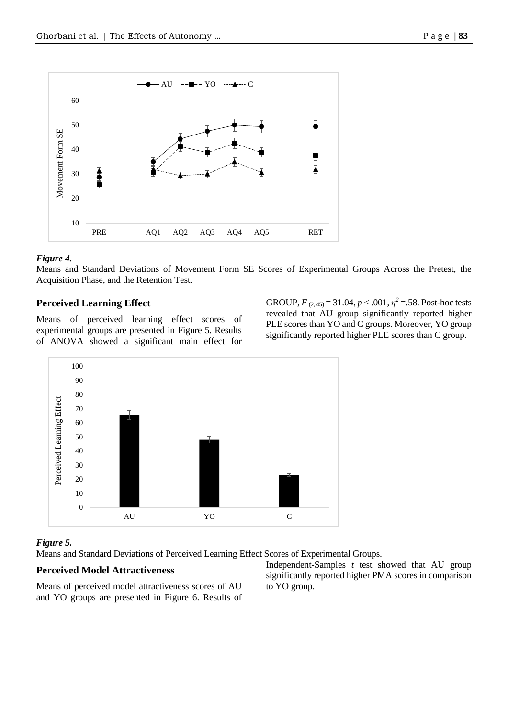

# *Figure 4.*

Means and Standard Deviations of Movement Form SE Scores of Experimental Groups Across the Pretest, the Acquisition Phase, and the Retention Test.

# **Perceived Learning Effect**

Means of perceived learning effect scores of experimental groups are presented in Figure 5. Results of ANOVA showed a significant main effect for

GROUP,  $F_{(2,45)} = 31.04$ ,  $p < .001$ ,  $\eta^2 = .58$ . Post-hoc tests revealed that AU group significantly reported higher PLE scores than YO and C groups. Moreover, YO group significantly reported higher PLE scores than C group.



# *Figure 5.*

Means and Standard Deviations of Perceived Learning Effect Scores of Experimental Groups.

# **Perceived Model Attractiveness**

Means of perceived model attractiveness scores of AU and YO groups are presented in Figure 6. Results of Independent-Samples *t* test showed that AU group significantly reported higher PMA scores in comparison to YO group.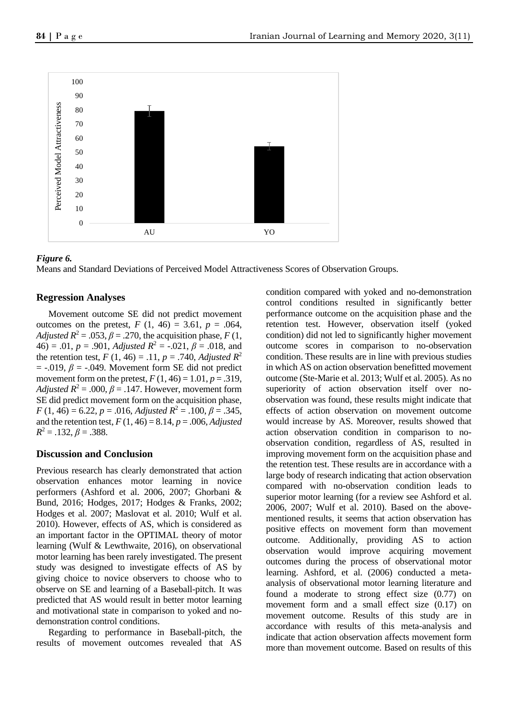

### *Figure 6.*

Means and Standard Deviations of Perceived Model Attractiveness Scores of Observation Groups.

# **Regression Analyses**

Movement outcome SE did not predict movement outcomes on the pretest,  $F(1, 46) = 3.61$ ,  $p = .064$ , *Adjusted R*<sup>2</sup> = .053,  $\beta$  = .270, the acquisition phase, *F* (1,  $46$ ) = .01, *p* = .901, *Adjusted*  $R^2$  = -.021,  $\beta$  = .018, and the retention test,  $F(1, 46) = .11$ ,  $p = .740$ , *Adjusted*  $R^2$  $= -0.019$ ,  $\beta = -0.049$ . Movement form SE did not predict movement form on the pretest,  $F(1, 46) = 1.01$ ,  $p = .319$ , *Adjusted R*<sup>2</sup> = .000,  $\beta$  = .147. However, movement form SE did predict movement form on the acquisition phase, *F* (1, 46) = 6.22, *p* = .016, *Adjusted*  $R^2$  = .100,  $\beta$  = .345, and the retention test,  $F(1, 46) = 8.14$ ,  $p = .006$ , *Adjusted*  $R^2 = .132, \beta = .388.$ 

# **Discussion and Conclusion**

Previous research has clearly demonstrated that action observation enhances motor learning in novice performers (Ashford et al. 2006, 2007; Ghorbani & Bund, 2016; Hodges, 2017; Hodges & Franks, 2002; Hodges et al. 2007; Maslovat et al. 2010; Wulf et al. 2010). However, effects of AS, which is considered as an important factor in the OPTIMAL theory of motor learning (Wulf & Lewthwaite, 2016), on observational motor learning has been rarely investigated. The present study was designed to investigate effects of AS by giving choice to novice observers to choose who to observe on SE and learning of a Baseball-pitch. It was predicted that AS would result in better motor learning and motivational state in comparison to yoked and nodemonstration control conditions.

Regarding to performance in Baseball-pitch, the results of movement outcomes revealed that AS

condition compared with yoked and no-demonstration control conditions resulted in significantly better performance outcome on the acquisition phase and the retention test. However, observation itself (yoked condition) did not led to significantly higher movement outcome scores in comparison to no-observation condition. These results are in line with previous studies in which AS on action observation benefitted movement outcome (Ste-Marie et al. 2013; Wulf et al. 2005). As no superiority of action observation itself over noobservation was found, these results might indicate that effects of action observation on movement outcome would increase by AS. Moreover, results showed that action observation condition in comparison to noobservation condition, regardless of AS, resulted in improving movement form on the acquisition phase and the retention test. These results are in accordance with a large body of research indicating that action observation compared with no-observation condition leads to superior motor learning (for a review see Ashford et al. 2006, 2007; Wulf et al. 2010). Based on the abovementioned results, it seems that action observation has positive effects on movement form than movement outcome. Additionally, providing AS to action observation would improve acquiring movement outcomes during the process of observational motor learning. Ashford, et al. (2006) conducted a metaanalysis of observational motor learning literature and found a moderate to strong effect size (0.77) on movement form and a small effect size (0.17) on movement outcome. Results of this study are in accordance with results of this meta-analysis and indicate that action observation affects movement form more than movement outcome. Based on results of this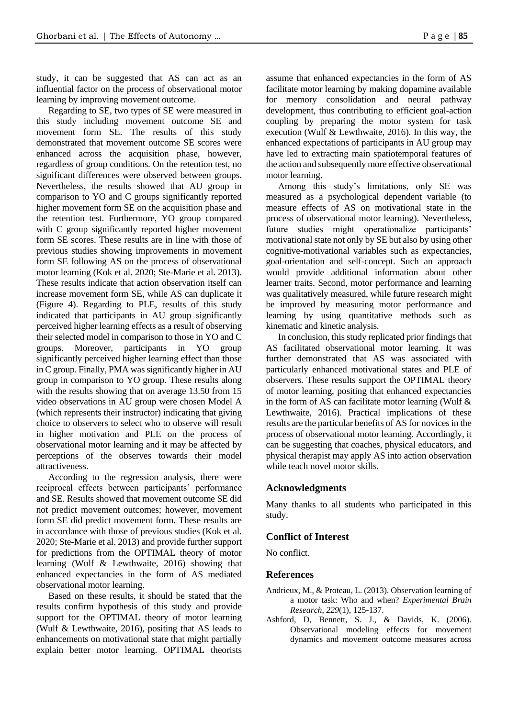study, it can be suggested that AS can act as an influential factor on the process of observational motor learning by improving movement outcome.

Regarding to SE, two types of SE were measured in this study including movement outcome SE and movement form SE. The results of this study demonstrated that movement outcome SE scores were enhanced across the acquisition phase, however, regardless of group conditions. On the retention test, no significant differences were observed between groups. Nevertheless, the results showed that AU group in comparison to YO and C groups significantly reported higher movement form SE on the acquisition phase and the retention test. Furthermore, YO group compared with C group significantly reported higher movement form SE scores. These results are in line with those of previous studies showing improvements in movement form SE following AS on the process of observational motor learning (Kok et al. 2020; Ste-Marie et al. 2013). These results indicate that action observation itself can increase movement form SE, while AS can duplicate it (Figure 4). Regarding to PLE, results of this study indicated that participants in AU group significantly perceived higher learning effects as a result of observing their selected model in comparison to those in YO and C groups. Moreover, participants in YO group significantly perceived higher learning effect than those in C group. Finally, PMA was significantly higher in AU group in comparison to YO group. These results along with the results showing that on average 13.50 from 15 video observations in AU group were chosen Model A (which represents their instructor) indicating that giving choice to observers to select who to observe will result in higher motivation and PLE on the process of observational motor learning and it may be affected by perceptions of the observes towards their model attractiveness.

According to the regression analysis, there were reciprocal effects between participants' performance and SE. Results showed that movement outcome SE did not predict movement outcomes; however, movement form SE did predict movement form. These results are in accordance with those of previous studies (Kok et al. 2020; Ste-Marie et al. 2013) and provide further support for predictions from the OPTIMAL theory of motor learning (Wulf & Lewthwaite, 2016) showing that enhanced expectancies in the form of AS mediated observational motor learning.

Based on these results, it should be stated that the results confirm hypothesis of this study and provide support for the OPTIMAL theory of motor learning (Wulf & Lewthwaite, 2016), positing that AS leads to enhancements on motivational state that might partially explain better motor learning. OPTIMAL theorists assume that enhanced expectancies in the form of AS facilitate motor learning by making dopamine available for memory consolidation and neural pathway development, thus contributing to efficient goal-action coupling by preparing the motor system for task execution (Wulf & Lewthwaite, 2016). In this way, the enhanced expectations of participants in AU group may have led to extracting main spatiotemporal features of the action and subsequently more effective observational motor learning.

Among this study's limitations, only SE was measured as a psychological dependent variable (to measure effects of AS on motivational state in the process of observational motor learning). Nevertheless, future studies might operationalize participants' motivational state not only by SE but also by using other cognitive-motivational variables such as expectancies, goal-orientation and self-concept. Such an approach would provide additional information about other learner traits. Second, motor performance and learning was qualitatively measured, while future research might be improved by measuring motor performance and learning by using quantitative methods such as kinematic and kinetic analysis.

In conclusion, this study replicated prior findings that AS facilitated observational motor learning. It was further demonstrated that AS was associated with particularly enhanced motivational states and PLE of observers. These results support the OPTIMAL theory of motor learning, positing that enhanced expectancies in the form of AS can facilitate motor learning (Wulf  $\&$ Lewthwaite, 2016). Practical implications of these results are the particular benefits of AS for novices in the process of observational motor learning. Accordingly, it can be suggesting that coaches, physical educators, and physical therapist may apply AS into action observation while teach novel motor skills.

# **Acknowledgments**

Many thanks to all students who participated in this study.

# **Conflict of Interest**

No conflict.

# **References**

- Andrieux, M., & Proteau, L. (2013). Observation learning of a motor task: Who and when? *Experimental Brain Research*, *229*(1), 125-137.
- Ashford, D, Bennett, S. J., & Davids, K. (2006). Observational modeling effects for movement dynamics and movement outcome measures across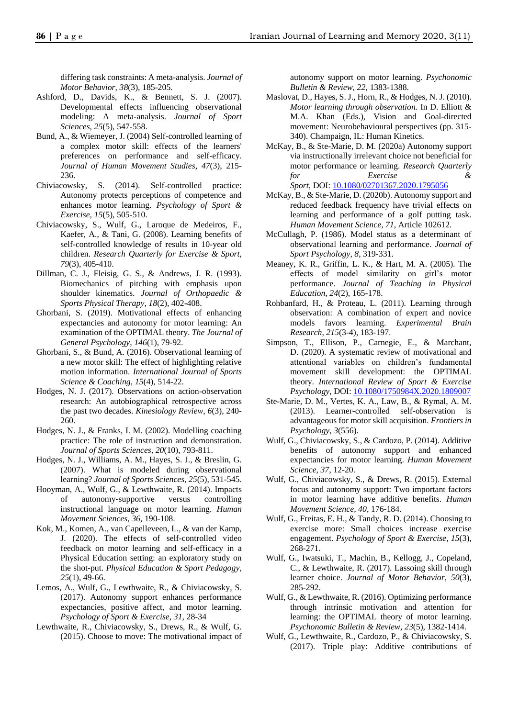differing task constraints: A meta-analysis. *Journal of Motor Behavior*, *38*(3), 185-205.

- Ashford, D., Davids, K., & Bennett, S. J. (2007). Developmental effects influencing observational modeling: A meta-analysis. *Journal of Sport Sciences*, *25*(5), 547-558.
- Bund, A., & Wiemeyer, J. (2004) Self-controlled learning of a complex motor skill: effects of the learners' preferences on performance and self-efficacy. *Journal of Human Movement Studies*, *47*(3), 215- 236.
- Chiviacowsky, S. (2014). Self-controlled practice: Autonomy protects perceptions of competence and enhances motor learning. *Psychology of Sport & Exercise, 15*(5), 505-510.
- Chiviacowsky, S., Wulf, G., Laroque de Medeiros, F., Kaefer, A., & Tani, G. (2008). Learning benefits of self-controlled knowledge of results in 10-year old children. *Research Quarterly for Exercise & Sport, 79*(3), 405-410.
- Dillman, C. J., Fleisig, G. S., & Andrews, J. R. (1993). Biomechanics of pitching with emphasis upon shoulder kinematics. *Journal of Orthopaedic & Sports Physical Therapy*, *18*(2), 402-408.
- Ghorbani, S. (2019). Motivational effects of enhancing expectancies and autonomy for motor learning: An examination of the OPTIMAL theory. *The Journal of General Psychology*, *146*(1), 79-92.
- Ghorbani, S., & Bund, A. (2016). Observational learning of a new motor skill: The effect of highlighting relative motion information. *International Journal of Sports Science & Coaching*, *15*(4), 514-22.
- Hodges, N. J. (2017). Observations on action-observation research: An autobiographical retrospective across the past two decades. *Kinesiology Review*, *6*(3), 240- 260.
- Hodges, N. J., & Franks, I. M. (2002). Modelling coaching practice: The role of instruction and demonstration. *Journal of Sports Sciences, 20*(10), 793-811.
- Hodges, N. J., Williams, A. M., Hayes, S. J., & Breslin, G. (2007). What is modeled during observational learning? *Journal of Sports Sciences, 25*(5)*,* 531-545.
- Hooyman, A., Wulf, G., & Lewthwaite, R. (2014). Impacts of autonomy-supportive versus controlling instructional language on motor learning. *Human Movement Sciences*, *36*, 190-108.
- Kok, M., Komen, A., van Capelleveen, L., & van der Kamp, J. (2020). The effects of self-controlled video feedback on motor learning and self-efficacy in a Physical Education setting: an exploratory study on the shot-put. *Physical Education & Sport Pedagogy*, *25*(1), 49-66.
- Lemos, A., Wulf, G., Lewthwaite, R., & Chiviacowsky, S. (2017). Autonomy support enhances performance expectancies, positive affect, and motor learning. *Psychology of Sport & Exercise*, *31*, 28-34
- Lewthwaite, R., Chiviacowsky, S., Drews, R., & Wulf, G. (2015). Choose to move: The motivational impact of

autonomy support on motor learning. *Psychonomic Bulletin & Review*, *22*, 1383-1388.

- Maslovat, D., Hayes, S. J., Horn, R., & Hodges, N. J. (2010). *Motor learning through observation.* In D. Elliott & M.A. Khan (Eds.), Vision and Goal-directed movement: Neurobehavioural perspectives (pp. 315- 340). Champaign, IL: Human Kinetics.
- McKay, B., & Ste-Marie, D. M. (2020a) Autonomy support via instructionally irrelevant choice not beneficial for motor performance or learning. *Research Quarterly for Exercise & Sport*, DOI: [10.1080/02701367.2020.1795056](https://doi.org/10.1080/02701367.2020.1795056)
- McKay, B., & Ste-Marie, D. (2020b). Autonomy support and reduced feedback frequency have trivial effects on learning and performance of a golf putting task. *Human Movement Science*, *71*, Article 102612.
- McCullagh, P. (1986). Model status as a determinant of observational learning and performance. *Journal of Sport Psychology*, *8*, 319-331.
- Meaney, K. R., Griffin, L. K., & Hart, M. A. (2005). The effects of model similarity on girl's motor performance. *Journal of Teaching in Physical Education*, *24*(2), 165-178.
- Rohbanfard, H., & Proteau, L. (2011). Learning through observation: A combination of expert and novice models favors learning. *Experimental Brain Research*, *215*(3-4), 183-197.
- Simpson, T., Ellison, P., Carnegie, E., & Marchant, D. (2020). A systematic review of motivational and attentional variables on children's fundamental movement skill development: the OPTIMAL theory. *International Review of Sport & Exercise Psychology*, DOI: [10.1080/1750984X.2020.1809007](https://doi.org/10.1080/1750984X.2020.1809007)
- Ste-Marie, D. M., Vertes, K. A., Law, B., & Rymal, A. M. (2013). Learner-controlled self-observation is advantageous for motor skill acquisition. *Frontiers in Psychology*, *3*(556).
- Wulf, G., Chiviacowsky, S., & Cardozo, P. (2014). Additive benefits of autonomy support and enhanced expectancies for motor learning. *Human Movement Science, 37*, 12-20.
- Wulf, G., Chiviacowsky, S., & Drews, R. (2015). External focus and autonomy support: Two important factors in motor learning have additive benefits. *Human Movement Science, 40*, 176-184.
- Wulf, G., Freitas, E. H., & Tandy, R. D. (2014). Choosing to exercise more: Small choices increase exercise engagement. *Psychology of Sport & Exercise*, *15*(3), 268-271.
- Wulf, G., Iwatsuki, T., Machin, B., Kellogg, J., Copeland, C., & Lewthwaite, R. (2017). Lassoing skill through learner choice. *Journal of Motor Behavior*, *50*(3), 285-292.
- Wulf, G., & Lewthwaite, R. (2016). Optimizing performance through intrinsic motivation and attention for learning: the OPTIMAL theory of motor learning. *Psychonomic Bulletin & Review, 23*(5), 1382-1414.
- Wulf, G., Lewthwaite, R., Cardozo, P., & Chiviacowsky, S. (2017). Triple play: Additive contributions of